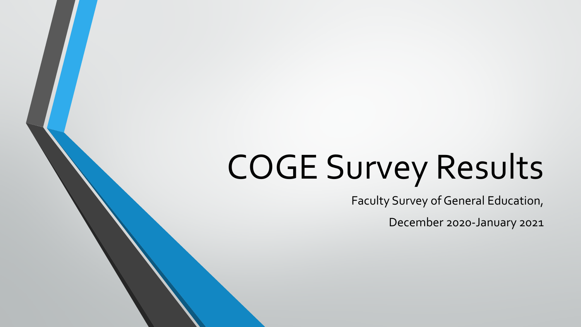# COGE Survey Results

Faculty Survey of General Education,

December 2020-January 2021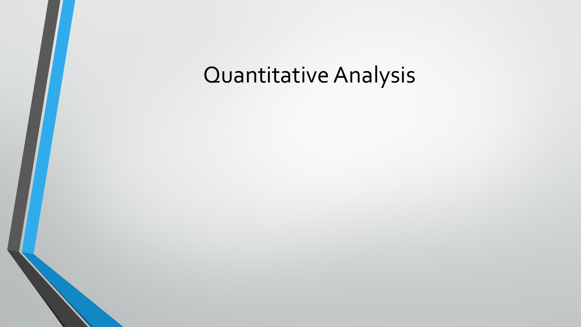# Quantitative Analysis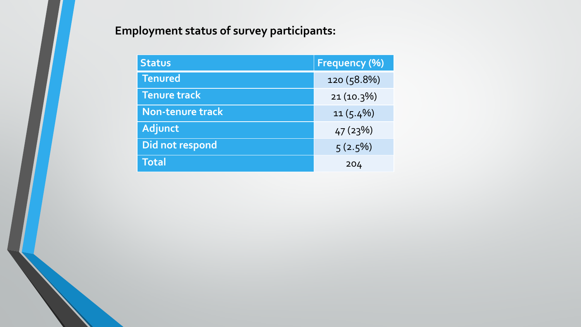# **Employment status of survey participants:**

| <b>Status</b>           | <b>Frequency (%)</b> |
|-------------------------|----------------------|
| <b>Tenured</b>          | 120 (58.8%)          |
| <b>Tenure track</b>     | $21(10.3\%)$         |
| <b>Non-tenure track</b> | $11(5.4\%)$          |
| <b>Adjunct</b>          | 47(23%)              |
| Did not respond         | $5(2.5\%)$           |
| <b>Total</b>            | 204                  |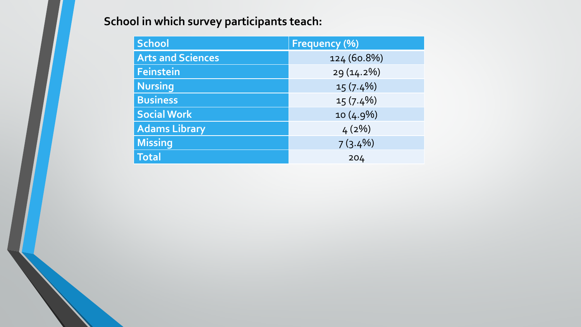# **School in which survey participants teach:**

| School                   | <b>Frequency (%)</b> |
|--------------------------|----------------------|
| <b>Arts and Sciences</b> | 124 (60.8%)          |
| Feinstein                | 29 (14.2%)           |
| <b>Nursing</b>           | $15(7.4\%)$          |
| <b>Business</b>          | $15(7.4\%)$          |
| <b>Social Work</b>       | $10(4.9\%)$          |
| <b>Adams Library</b>     | 4(2%)                |
| <b>Missing</b>           | $7(3.4\%)$           |
| <b>Total</b>             | 204                  |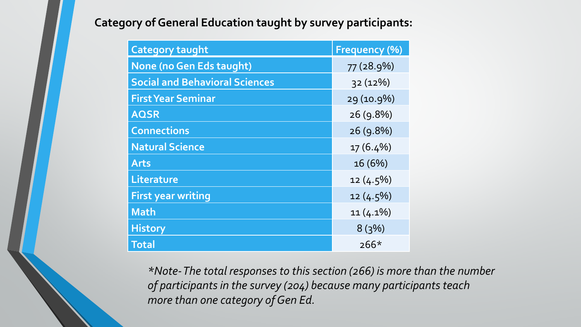# **Category of General Education taught by survey participants:**

| <b>Category taught</b>                | <b>Frequency (%)</b> |
|---------------------------------------|----------------------|
| <b>None (no Gen Eds taught)</b>       | 77 (28.9%)           |
| <b>Social and Behavioral Sciences</b> | 32(12%)              |
| <b>First Year Seminar</b>             | 29 (10.9%)           |
| <b>AQSR</b>                           | 26(9.8%)             |
| <b>Connections</b>                    | 26(9.8%)             |
| <b>Natural Science</b>                | $17(6.4\%)$          |
| <b>Arts</b>                           | 16(6%)               |
| Literature                            | $12(4.5\%)$          |
| <b>First year writing</b>             | $12(4.5\%)$          |
| <b>Math</b>                           | $11(4.1\%)$          |
| <b>History</b>                        | 8(3%)                |
| <b>Total</b>                          | $266*$               |

*\*Note-The total responses to this section (266) is more than the number of participants in the survey (204) because many participants teach more than one category of Gen Ed.*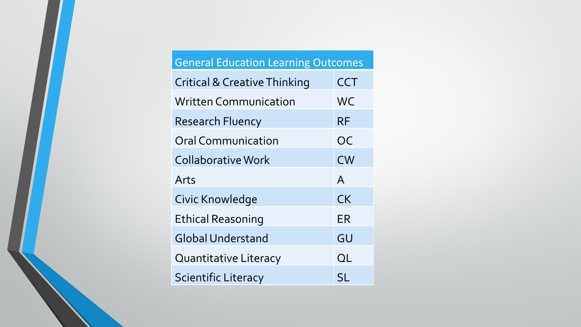| <b>General Education Learning Outcomes</b> |              |
|--------------------------------------------|--------------|
| <b>Critical &amp; Creative Thinking</b>    | <b>CCT</b>   |
| <b>Written Communication</b>               | <b>WC</b>    |
| <b>Research Fluency</b>                    | RF           |
| <b>Oral Communication</b>                  | OC           |
| <b>Collaborative Work</b>                  | <b>CW</b>    |
| Arts                                       | $\mathsf{A}$ |
| Civic Knowledge                            | <b>CK</b>    |
| <b>Ethical Reasoning</b>                   | ER           |
| <b>Global Understand</b>                   | GU           |
| <b>Quantitative Literacy</b>               | QL           |
| <b>Scientific Literacy</b>                 | SL           |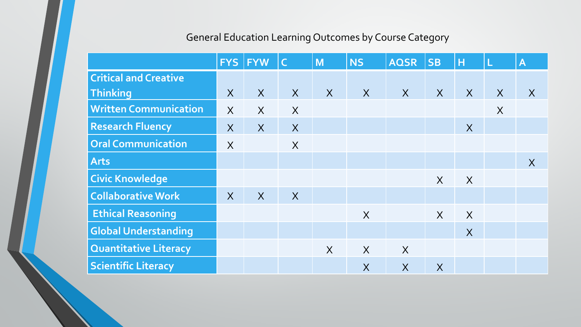# General Education Learning Outcomes by Course Category

|                              |                | <b>FYS FYW</b> | $\mathsf{C}$   | M       | <b>NS</b>    | <b>AQSR</b>             | <b>SB</b>               | н      |          | $\overline{\mathsf{A}}$ |
|------------------------------|----------------|----------------|----------------|---------|--------------|-------------------------|-------------------------|--------|----------|-------------------------|
| <b>Critical and Creative</b> |                |                |                |         |              |                         |                         |        |          |                         |
| Thinking                     | $\sf X$        | $\overline{X}$ | X              | X       | $\mathsf{X}$ | $\overline{X}$          | $\overline{X}$          | X      | X        | X                       |
| <b>Written Communication</b> | $\sf X$        | $\overline{X}$ | $\sf X$        |         |              |                         |                         |        | $\times$ |                         |
| <b>Research Fluency</b>      | $\sf X$        | $\overline{X}$ | $\overline{X}$ |         |              |                         |                         | X      |          |                         |
| <b>Oral Communication</b>    | $\times$       |                | $\sf X$        |         |              |                         |                         |        |          |                         |
| <b>Arts</b>                  |                |                |                |         |              |                         |                         |        |          | X                       |
| <b>Civic Knowledge</b>       |                |                |                |         |              |                         | $\sf X$                 | $\chi$ |          |                         |
| <b>Collaborative Work</b>    | $\overline{X}$ | $\overline{X}$ | X              |         |              |                         |                         |        |          |                         |
| <b>Ethical Reasoning</b>     |                |                |                |         | $\sf X$      |                         | $\sf X$                 | X      |          |                         |
| <b>Global Understanding</b>  |                |                |                |         |              |                         |                         | X      |          |                         |
| <b>Quantitative Literacy</b> |                |                |                | $\sf X$ | $\chi$       | $\overline{X}$          |                         |        |          |                         |
| <b>Scientific Literacy</b>   |                |                |                |         | $\sf X$      | $\overline{\mathsf{X}}$ | $\overline{\mathsf{X}}$ |        |          |                         |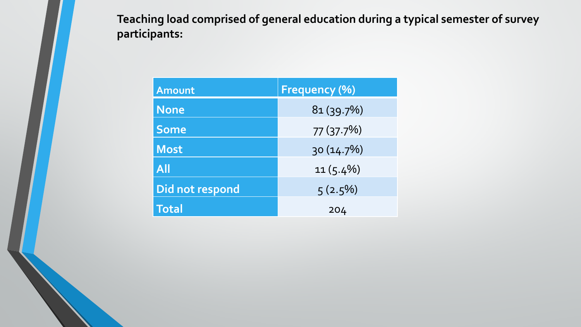**Teaching load comprised of general education during a typical semester of survey participants:**

| Amount          | <b>Frequency (%)</b> |
|-----------------|----------------------|
| <b>None</b>     | 81(39.7%)            |
| <b>Some</b>     | 77(37.7%)            |
| <b>Most</b>     | 30 (14.7%)           |
| <b>All</b>      | $11(5.4\%)$          |
| Did not respond | $5(2.5\%)$           |
| <b>Total</b>    | 204                  |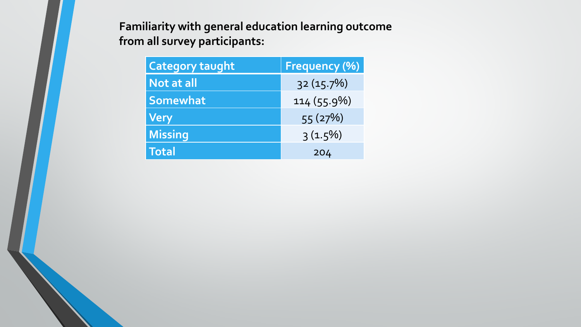**Familiarity with general education learning outcome from all survey participants:** 

| <b>Category taught</b> | <b>Frequency (%)</b> |
|------------------------|----------------------|
| <b>Not at all</b>      | 32(15.7%)            |
| Somewhat               | 114 (55.9%)          |
| <b>Very</b>            | 55 (27%)             |
| <b>Missing</b>         | $3(1.5\%)$           |
| <b>Total</b>           | 204                  |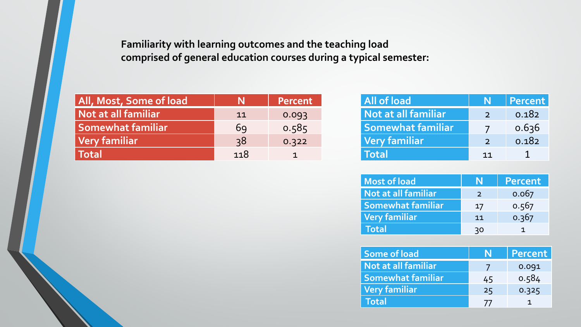#### **Familiarity with learning outcomes and the teaching load comprised of general education courses during a typical semester:**

| All, Most, Some of load  |     | <b>Percent</b> |
|--------------------------|-----|----------------|
| Not at all familiar      | 11  | 0.093          |
| <b>Somewhat familiar</b> | 69  | 0.585          |
| Very familiar            | 38  | 0.322          |
| <b>Total</b>             | 118 |                |

| All of load              |               | Percent |
|--------------------------|---------------|---------|
| Not at all familiar      | $\mathcal{D}$ | 0.182   |
| <b>Somewhat familiar</b> |               | 0.636   |
| Very familiar            | $\mathcal{D}$ | 0.182   |
| <b>Total</b>             | 11            |         |

| <b>Most of load</b>      |               | Percent |
|--------------------------|---------------|---------|
| Not at all familiar      | $\mathcal{P}$ | 0.067   |
| <b>Somewhat familiar</b> | 17            | 0.567   |
| Very familiar            | 11            | 0.367   |
| Total                    | 30            |         |

| <b>Some of load</b>      |                | Percent |
|--------------------------|----------------|---------|
| Not at all familiar      |                | 0.091   |
| <b>Somewhat familiar</b> | 45             | 0.584   |
| Very familiar            | 25             | 0.325   |
| Total                    | $\prime\prime$ |         |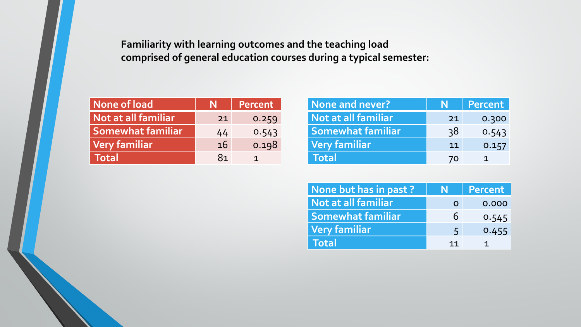**Familiarity with learning outcomes and the teaching load comprised of general education courses during a typical semester:**

| None of load             |    | Percent |
|--------------------------|----|---------|
| Not at all familiar      | 21 | 0.259   |
| <b>Somewhat familiar</b> | 44 | 0.543   |
| Very familiar            | 16 | 0.198   |
| <b>Total</b>             | 81 |         |

| None and never?          | N  | Percent |
|--------------------------|----|---------|
| Not at all familiar      | 21 | 0.300   |
| <b>Somewhat familiar</b> | 38 | 0.543   |
| Very familiar            | 11 | 0.157   |
| Total                    | 70 |         |

| None but has in past?    | N  | Percent |
|--------------------------|----|---------|
| Not at all familiar      | O  | 0.000   |
| <b>Somewhat familiar</b> | 6  | 0.545   |
| <b>Very familiar</b>     | 5  | 0.455   |
| Total                    | 11 |         |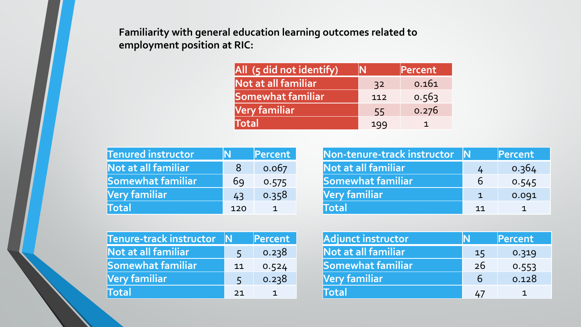**Familiarity with general education learning outcomes related to employment position at RIC:**

| All (5 did not identify) |     | Percent |
|--------------------------|-----|---------|
| Not at all familiar      | 32  | 0.161   |
| Somewhat familiar        | 112 | 0.563   |
| Very familiar            | 55  | 0.276   |
| Total                    | 199 | 1       |

| <b>Tenured instructor</b> |     | Percent |
|---------------------------|-----|---------|
| Not at all familiar       | 8   | 0.067   |
| <b>Somewhat familiar</b>  | 69  | 0.575   |
| Very familiar             | 43  | 0.358   |
| <b>Total</b>              | 120 |         |

| Non-tenure-track instructor |              | Percent |
|-----------------------------|--------------|---------|
| Not at all familiar         | 4            | 0.364   |
| Somewhat familiar           | 6            | 0.545   |
| Very familiar               | $\mathbf{1}$ | 0.091   |
| <b>Total</b>                | 11           |         |

| <b>Tenure-track instructor</b> | N  | Percent |
|--------------------------------|----|---------|
| Not at all familiar            | 5  | 0.238   |
| <b>Somewhat familiar</b>       | 11 | 0.524   |
| Very familiar                  | 5  | 0.238   |
| Total                          | 21 |         |

| Adjunct instructor  |    | Percent |
|---------------------|----|---------|
| Not at all familiar | 15 | 0.319   |
| Somewhat familiar   | 26 | 0.553   |
| Very familiar       | 6  | 0.128   |
| <b>Total</b>        | 47 |         |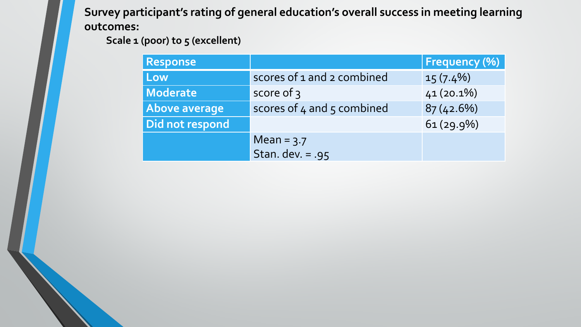**Survey participant's rating of general education's overall success in meeting learning outcomes:** 

**Scale 1 (poor) to 5 (excellent)**

| <b>Response</b>      |                            | <b>Frequency (%)</b> |
|----------------------|----------------------------|----------------------|
| Low                  | scores of 1 and 2 combined | $15(7.4\%)$          |
| <b>Moderate</b>      | score of 3                 | $41(20.1\%)$         |
| <b>Above average</b> | scores of 4 and 5 combined | 87(42.6%)            |
| Did not respond      |                            | $61(29.9\%)$         |
|                      | Mean = $3.7$               |                      |
|                      | Stan. dev. = $.95$         |                      |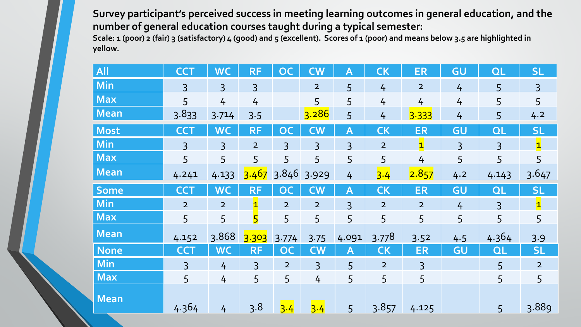**Survey participant's perceived success in meeting learning outcomes in general education, and the number of general education courses taught during a typical semester:** 

**Scale: 1 (poor) 2 (fair) 3 (satisfactory) 4 (good) and 5 (excellent). Scores of 1 (poor) and means below 3.5 are highlighted in yellow.**

| All         | <b>CCT</b>     | <b>WC</b>      | <b>RF</b>      | <b>OC</b>              | <b>CW</b>      | A              | <b>CK</b>      | <b>ER</b>      | GU             | QL             | <b>SL</b>               |
|-------------|----------------|----------------|----------------|------------------------|----------------|----------------|----------------|----------------|----------------|----------------|-------------------------|
| Min         | $\overline{3}$ | $\overline{3}$ | $\overline{3}$ |                        | $\overline{2}$ | 5              | $\overline{4}$ | $\overline{2}$ | 4              | 5              | $\overline{3}$          |
| <b>Max</b>  | 5              | $\overline{4}$ | 4              |                        | 5              | 5              | $\overline{4}$ | $\frac{1}{4}$  | 4              | 5              | 5                       |
| <b>Mean</b> | 3.833          | 3.714          | 3.5            |                        | 3.286          | 5              | 4              | 3.333          | 4              | 5              | 4.2                     |
| Most        | <b>CCT</b>     | <b>WC</b>      | <b>RF</b>      | <b>OC</b>              | $\mathsf{CW}$  | Α              | <b>CK</b>      | <b>ER</b>      | GU             | QL             | <b>SL</b>               |
| Min         | $\overline{3}$ | $\overline{3}$ | $\overline{2}$ | $\overline{3}$         | $\overline{3}$ | $\overline{3}$ | $\overline{2}$ | $\mathbf{1}$   | $\overline{3}$ | $\overline{3}$ | $\overline{\mathbf{1}}$ |
| <b>Max</b>  | 5              | 5              | 5              | 5                      | 5              | 5              | 5              | $\overline{4}$ | 5              | 5              | 5                       |
| Mean        | 4.241          | 4.133          | 3.467          | 3.846                  | 3.929          | 4              | 3.4            | 2.857          | 4.2            | 4.143          | 3.647                   |
| <b>Some</b> | <b>CCT</b>     | <b>WC</b>      | <b>RF</b>      | <b>OC</b>              | <b>CW</b>      | Α              | <b>CK</b>      | <b>ER</b>      | GU             | QL             | <b>SL</b>               |
| Min         | $\overline{2}$ | $\overline{2}$ | $\mathbf{1}$   | $\overline{2}$         | $\overline{2}$ | $\overline{3}$ | $\overline{2}$ | $\overline{2}$ | $\overline{4}$ | $\overline{3}$ | $\overline{\mathbf{1}}$ |
| $\vert$ Max | 5              | 5              | 5              | 5                      | 5              | 5              | 5              | 5              | 5              | 5              | 5                       |
| <b>Mean</b> | 4.152          | 3.868          | 3.303          | 3.774                  | 3.75           | 4.091          | 3.778          | 3.52           | 4.5            | 4.364          | 3.9                     |
| <b>None</b> | <b>CCT</b>     | <b>WC</b>      | <b>RF</b>      | $\overline{\text{OC}}$ | <b>CW</b>      | Α              | <b>CK</b>      | <b>ER</b>      | GU             | QL             | <b>SL</b>               |
| Min         | $\overline{3}$ | 4              | $\overline{3}$ | $\overline{2}$         | $\overline{3}$ | 5              | $\overline{2}$ | $\overline{3}$ |                | 5              | $\overline{2}$          |
| <b>Max</b>  | 5              | $\overline{4}$ | 5              | 5                      | $\overline{4}$ | 5              | 5              | 5              |                | 5              | 5                       |
| <b>Mean</b> | 4.364          | 4              | 3.8            | 3.4                    | 3.4            | 5              | 3.857          | 4.125          |                | 5              | 3.889                   |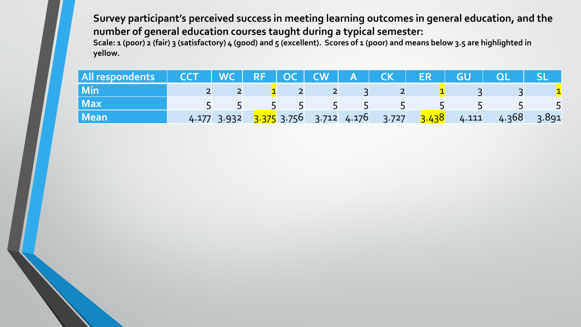**Survey participant's perceived success in meeting learning outcomes in general education, and the number of general education courses taught during a typical semester:** 

**Scale: 1 (poor) 2 (fair) 3 (satisfactory) 4 (good) and 5 (excellent). Scores of 1 (poor) and means below 3.5 are highlighted in yellow.**

| All respondents CCT WC RF OC CW A CK ER GU QL SL |  |  |  |                                 |                                                                   |  |
|--------------------------------------------------|--|--|--|---------------------------------|-------------------------------------------------------------------|--|
| <b>Min</b>                                       |  |  |  | $2$ $2$ $1$ $2$ $2$ $3$ $2$ $1$ |                                                                   |  |
| <b>Max</b>                                       |  |  |  | 5 5 5 5 5 5 5 5                 |                                                                   |  |
| <b>Mean</b>                                      |  |  |  |                                 | 4.177 3.932 3.375 3.756 3.712 4.176 3.727 3.438 4.111 4.368 3.891 |  |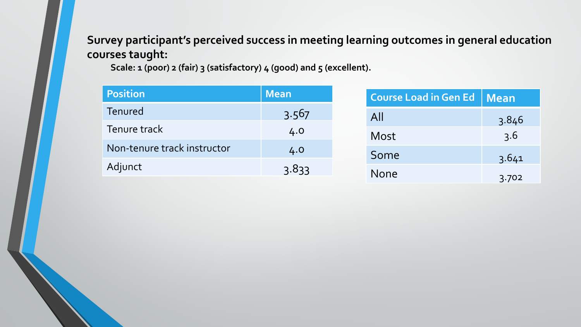**Survey participant's perceived success in meeting learning outcomes in general education courses taught:**

Scale: 1 (poor) 2 (fair) 3 (satisfactory) 4 (good) and 5 (excellent).

| <b>Position</b>             | <b>Mean</b> | Course Load in Gen Ed   Mean |
|-----------------------------|-------------|------------------------------|
| Tenured                     | 3.567       | All                          |
| Tenure track                | 4.0         |                              |
| Non-tenure track instructor |             | Most                         |
|                             | 4.0         | Some                         |
| Adjunct                     | 3.833       | <b>None</b>                  |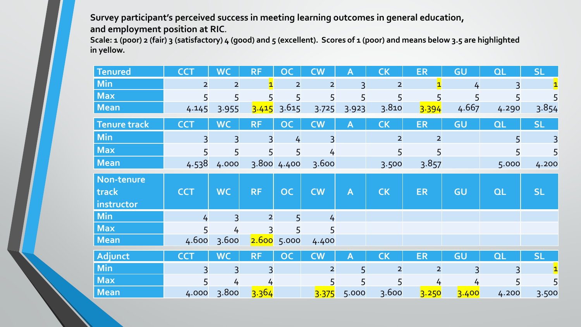**Survey participant's perceived success in meeting learning outcomes in general education, and employment position at RIC.** 

**Scale: 1 (poor) 2 (fair) 3 (satisfactory) 4 (good) and 5 (excellent). Scores of 1 (poor) and means below 3.5 are highlighted in yellow.**

| <b>Tenured</b>      | <b>CCT</b>     | <b>WC</b>      | <b>RF</b>      | <b>OC</b>      | <b>CW</b>      | Α                       | <b>CK</b>      | <b>ER</b>      | GU            | QL        | <b>SL</b>    |
|---------------------|----------------|----------------|----------------|----------------|----------------|-------------------------|----------------|----------------|---------------|-----------|--------------|
| Min                 | $\overline{2}$ | $\overline{2}$ |                | $\overline{2}$ | $\overline{2}$ | $\overline{3}$          | $\overline{2}$ |                | $\frac{1}{4}$ |           | $\mathbf{1}$ |
| <b>Max</b>          | 5              | 5              |                | 5              | 5              | 5                       | 5              |                | 5             |           |              |
| Mean                | 4.145          | 3.955          | 3.415          | 3.615          | 3.725          | 3.923                   | 3.810          | 3.394          | 4.667         | 4.290     | 3.854        |
| <b>Tenure track</b> | <b>CCT</b>     | <b>WC</b>      | <b>RF</b>      | <b>OC</b>      | <b>CW</b>      | $\mathsf{A}$            | <b>CK</b>      | <b>ER</b>      | GU            | <b>QL</b> | <b>SL</b>    |
| <b>Min</b>          |                | 3              |                | 4              | $\overline{3}$ |                         | $\overline{2}$ | $\overline{2}$ |               | 5         |              |
| <b>Max</b>          |                | 5              |                | 5              | 4              |                         | 5              |                |               | 5         | 5            |
| Mean                | 4.538          | 4.000          |                | 3.800 4.400    | 3.600          |                         | 3.500          | 3.857          |               | 5.000     | 4.200        |
| Non-tenure          |                |                |                |                |                |                         |                |                |               |           |              |
| track               | <b>CCT</b>     | <b>WC</b>      | <b>RF</b>      | <b>OC</b>      | <b>CW</b>      | $\overline{\mathsf{A}}$ | <b>CK</b>      | <b>ER</b>      | GU            | <b>QL</b> | <b>SL</b>    |
| instructor          |                |                |                |                |                |                         |                |                |               |           |              |
| <b>Min</b>          | 4              | $\overline{3}$ | $\overline{2}$ | 5 <sup>1</sup> | 4              |                         |                |                |               |           |              |
| <b>Max</b>          |                | 4              |                | 5              | 5              |                         |                |                |               |           |              |
| Mean                | 4.600          | 3.600          |                | 2.600 5.000    | 4.400          |                         |                |                |               |           |              |
| Adjunct             | <b>CCT</b>     | <b>WC</b>      | <b>RF</b>      | <b>OC</b>      | <b>CW</b>      | Α                       | <b>CK</b>      | <b>ER</b>      | GU            | QL        | <b>SL</b>    |
| <b>Min</b>          |                |                |                |                | $\overline{2}$ | 5                       | $\overline{2}$ | $\overline{2}$ |               |           |              |
| <b>Max</b>          |                | 4              |                |                | 5              | 5                       | 5              | 4              | 4             |           |              |
| <b>Mean</b>         | 4.000          | 3.800          | 3.364          |                | 3.375          | 5.000                   | 3.600          | 3.250          | 3.400         | 4.200     | 3.500        |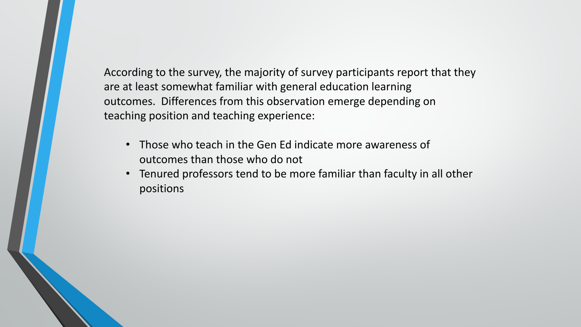According to the survey, the majority of survey participants report that they are at least somewhat familiar with general education learning outcomes. Differences from this observation emerge depending on teaching position and teaching experience:

- Those who teach in the Gen Ed indicate more awareness of outcomes than those who do not
- Tenured professors tend to be more familiar than faculty in all other positions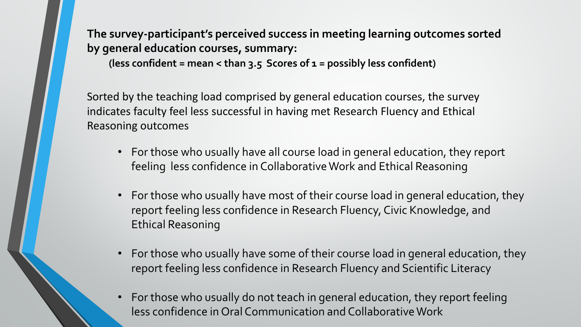**The survey-participant's perceived success in meeting learning outcomes sorted by general education courses, summary:** 

**(less confident = mean < than 3.5 Scores of 1 = possibly less confident)** 

Sorted by the teaching load comprised by general education courses, the survey indicates faculty feel less successful in having met Research Fluency and Ethical Reasoning outcomes

- For those who usually have all course load in general education, they report feeling less confidence in Collaborative Work and Ethical Reasoning
- For those who usually have most of their course load in general education, they report feeling less confidence in Research Fluency, Civic Knowledge, and Ethical Reasoning
- For those who usually have some of their course load in general education, they report feeling less confidence in Research Fluency and Scientific Literacy
- For those who usually do not teach in general education, they report feeling less confidence in Oral Communication and Collaborative Work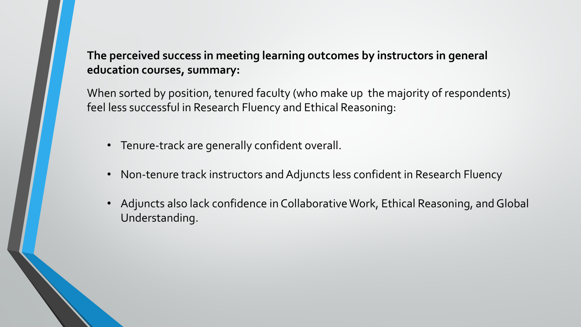## **The perceived success in meeting learning outcomes by instructors in general education courses, summary:**

When sorted by position, tenured faculty (who make up the majority of respondents) feel less successful in Research Fluency and Ethical Reasoning:

- Tenure-track are generally confident overall.
- Non-tenure track instructors and Adjuncts less confident in Research Fluency
- Adjuncts also lack confidence in Collaborative Work, Ethical Reasoning, and Global Understanding.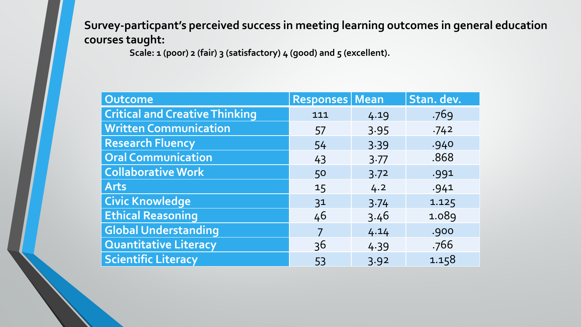**Survey-particpant's perceived success in meeting learning outcomes in general education courses taught:**

**Scale: 1 (poor) 2 (fair) 3 (satisfactory) 4 (good) and 5 (excellent).** 

| Outcome                               | <b>Responses   Mean</b> |       | Stan. dev. |
|---------------------------------------|-------------------------|-------|------------|
| <b>Critical and Creative Thinking</b> | 111                     | 4.19  | .769       |
| <b>Written Communication</b>          | 57                      | 3.95  | .742       |
| <b>Research Fluency</b>               | 54                      | 3.39  | .940       |
| <b>Oral Communication</b>             | 43                      | 3.77  | .868       |
| <b>Collaborative Work</b>             | 50                      | 3.72  | .991       |
| <b>Arts</b>                           | 15                      | 4.2   | .941       |
| <b>Civic Knowledge</b>                | 31                      | 3.74  | 1.125      |
| <b>Ethical Reasoning</b>              | 46                      | 3.46  | 1.089      |
| <b>Global Understanding</b>           |                         | 4.14  | .900       |
| <b>Quantitative Literacy</b>          | 36                      | 4 3 9 | .766       |
| <b>Scientific Literacy</b>            | 53                      | 3.92  | 1.158      |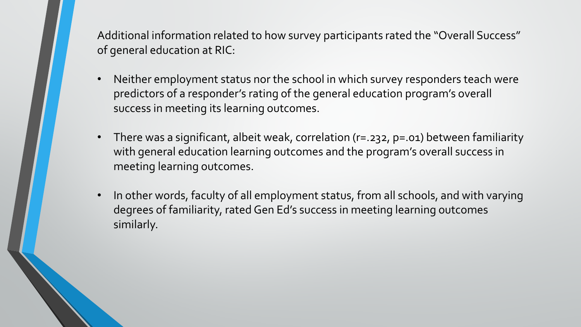Additional information related to how survey participants rated the "Overall Success" of general education at RIC:

- Neither employment status nor the school in which survey responders teach were predictors of a responder's rating of the general education program's overall success in meeting its learning outcomes.
- There was a significant, albeit weak, correlation (r=.232, p=.01) between familiarity with general education learning outcomes and the program's overall success in meeting learning outcomes.
- In other words, faculty of all employment status, from all schools, and with varying degrees of familiarity, rated Gen Ed's success in meeting learning outcomes similarly.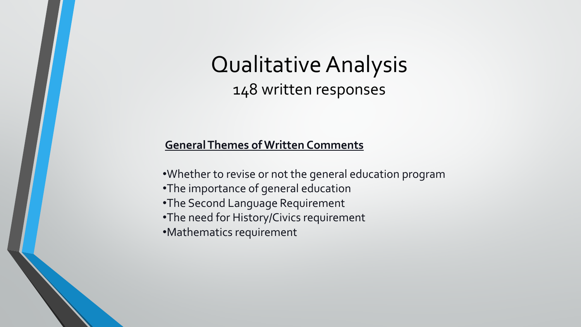# Qualitative Analysis 148 written responses

#### **General Themes of Written Comments**

- •Whether to revise or not the general education program
- •The importance of general education
- •The Second Language Requirement
- •The need for History/Civics requirement
- •Mathematics requirement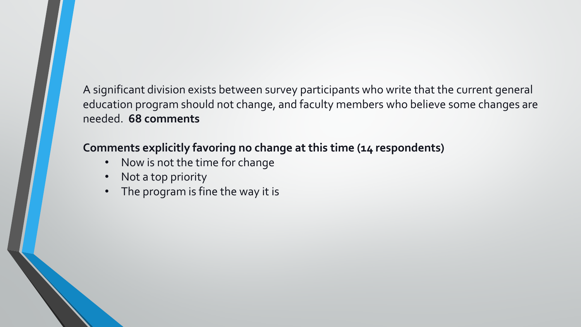A significant division exists between survey participants who write that the current general education program should not change, and faculty members who believe some changes are needed. **68 comments**

## **Comments explicitly favoring no change at this time (14 respondents)**

- Now is not the time for change
- Not a top priority
- The program is fine the way it is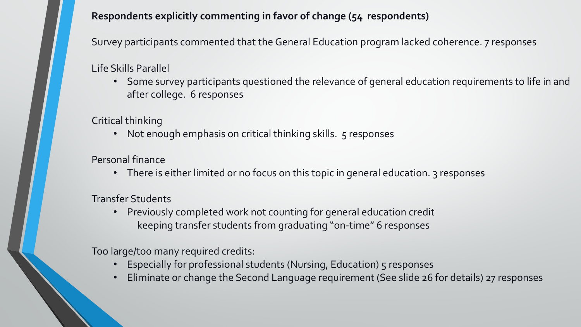#### **Respondents explicitly commenting in favor of change (54 respondents)**

Survey participants commented that the General Education program lacked coherence. 7 responses

Life Skills Parallel

• Some survey participants questioned the relevance of general education requirements to life in and after college. 6 responses

Critical thinking

• Not enough emphasis on critical thinking skills. 5 responses

Personal finance

• There is either limited or no focus on this topic in general education. 3 responses

Transfer Students

• Previously completed work not counting for general education credit keeping transfer students from graduating "on-time" 6 responses

Too large/too many required credits:

- Especially for professional students (Nursing, Education) 5 responses
- Eliminate or change the Second Language requirement (See slide 26 for details) 27 responses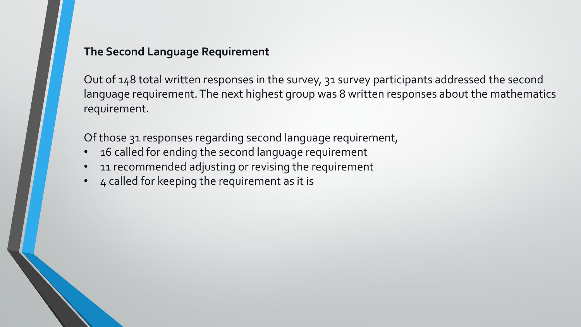#### **The Second Language Requirement**

Out of 148 total written responses in the survey, 31 survey participants addressed the second language requirement. The next highest group was 8 written responses about the mathematics requirement.

Of those 31 responses regarding second language requirement,

- 16 called for ending the second language requirement
- 11 recommended adjusting or revising the requirement
- 4 called for keeping the requirement as it is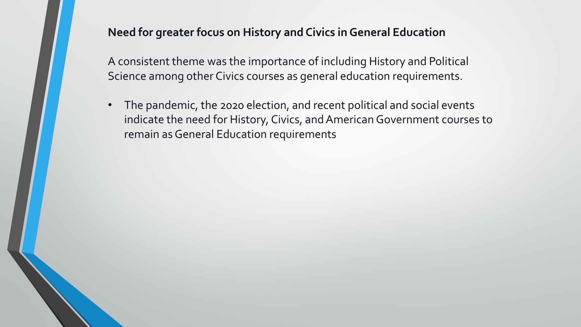#### **Need for greater focus on History and Civics in General Education**

A consistent theme was the importance of including History and Political Science among other Civics courses as general education requirements.

• The pandemic, the 2020 election, and recent political and social events indicate the need for History, Civics, and American Government courses to remain as General Education requirements